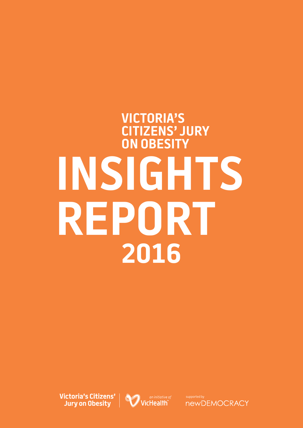# **VICTORIA'S CITIZENS' JURY ON OBESITY 2016 INSIGHTS REPORT**

Victoria's Citizens' | *Musuminitative of*<br>Jury on Obesity | *Musuminialth* 



**newDEMOCRACY**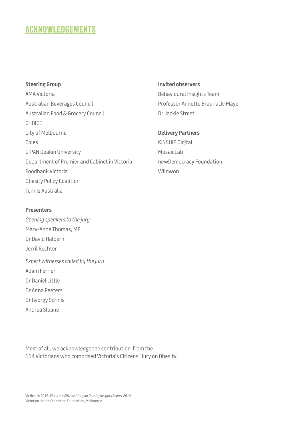## ACKNOWLEDGEMENTS

#### **Steering Group**

AMA Victoria Australian Beverages Council Australian Food & Grocery Council CHOICE City of Melbourne Coles C-PAN Deakin University Department of Premier and Cabinet in Victoria Foodbank Victoria Obesity Policy Coalition Tennis Australia

# **Invited observers**

Behavioural Insights Team Professor Annette Braunack-Mayer Dr Jackie Street

**Delivery Partners** KINSHIP Digital MosaicLab newDemocracy Foundation Wildwon

#### **Presenters**

*Opening speakers to the jury* Mary-Anne Thomas, MP Dr David Halpern Jerril Rechter *Expert witnesses called by the jury* Adam Ferrier Dr Daniel Little Dr Anna Peeters Dr Gyorgy Scrinis Andrea Sloane

Most of all, we acknowledge the contribution from the 114 Victorians who comprised Victoria's Citizens' Jury on Obesity.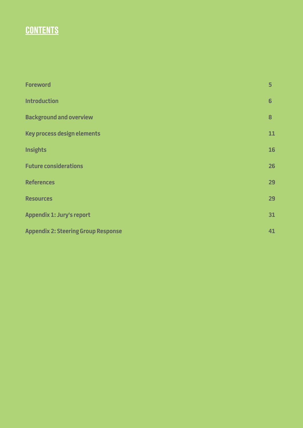# **CONTENTS**

| <b>Foreword</b>                            | 5              |
|--------------------------------------------|----------------|
| <b>Introduction</b>                        | $6\phantom{1}$ |
| <b>Background and overview</b>             | 8              |
| Key process design elements                | 11             |
| Insights                                   | 16             |
| <b>Future considerations</b>               | 26             |
| <b>References</b>                          | 29             |
| <b>Resources</b>                           | 29             |
| <b>Appendix 1: Jury's report</b>           | 31             |
| <b>Appendix 2: Steering Group Response</b> | 41             |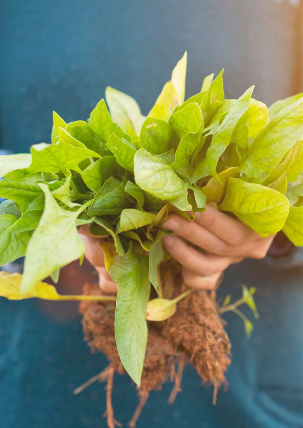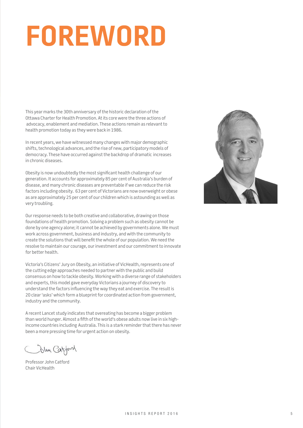# **FOREWORD**

This year marks the 30th anniversary of the historic declaration of the Ottawa Charter for Health Promotion. At its core were the three actions of advocacy, enablement and mediation. These actions remain as relevant to health promotion today as they were back in 1986.

In recent years, we have witnessed many changes with major demographic shifts, technological advances, and the rise of new, participatory models of democracy. These have occurred against the backdrop of dramatic increases in chronic diseases.

Obesity is now undoubtedly the most significant health challenge of our generation. It accounts for approximately 85 per cent of Australia's burden of disease, and many chronic diseases are preventable if we can reduce the risk factors including obesity. 63 per cent of Victorians are now overweight or obese as are approximately 25 per cent of our children which is astounding as well as very troubling.

Our response needs to be both creative and collaborative, drawing on those foundations of health promotion. Solving a problem such as obesity cannot be done by one agency alone; it cannot be achieved by governments alone. We must work across government, business and industry, and with the community to create the solutions that will benefit the whole of our population. We need the resolve to maintain our courage, our investment and our commitment to innovate for better health.

Victoria's Citizens' Jury on Obesity, an initiative of VicHealth, represents one of the cutting edge approaches needed to partner with the public and build consensus on how to tackle obesity. Working with a diverse range of stakeholders and experts, this model gave everyday Victorians a journey of discovery to understand the factors influencing the way they eat and exercise. The result is 20 clear 'asks' which form a blueprint for coordinated action from government, industry and the community.

A recent Lancet study indicates that overeating has become a bigger problem than world hunger. Almost a fifth of the world's obese adults now live in six highincome countries including Australia. This is a stark reminder that there has never been a more pressing time for urgent action on obesity.

Colm Catford

Professor John Catford Chair VicHealth

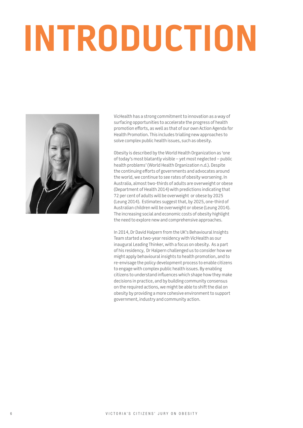# **INTRODUCTION**



VicHealth has a strong commitment to innovation as a way of surfacing opportunities to accelerate the progress of health promotion efforts, as well as that of our own Action Agenda for Health Promotion. This includes trialling new approaches to solve complex public health issues, such as obesity.

Obesity is described by the World Health Organization as 'one of today's most blatantly visible – yet most neglected – public health problems' (World Health Organization n.d.). Despite the continuing efforts of governments and advocates around the world, we continue to see rates of obesity worsening. In Australia, almost two-thirds of adults are overweight or obese (Department of Health 2014) with predictions indicating that 72 per cent of adults will be overweight or obese by 2025 (Leung 2014). Estimates suggest that, by 2025, one-third of Australian children will be overweight or obese (Leung 2014). The increasing social and economic costs of obesity highlight the need to explore new and comprehensive approaches.

In 2014, Dr David Halpern from the UK's Behavioural Insights Team started a two-year residency with VicHealth as our inaugural Leading Thinker, with a focus on obesity. As a part of his residency, Dr Halpern challenged us to consider how we might apply behavioural insights to health promotion, and to re-envisage the policy development process to enable citizens to engage with complex public health issues. By enabling citizens to understand influences which shape how they make decisions in practice, and by building community consensus on the required actions, we might be able to shift the dial on obesity by providing a more cohesive environment to support government, industry and community action.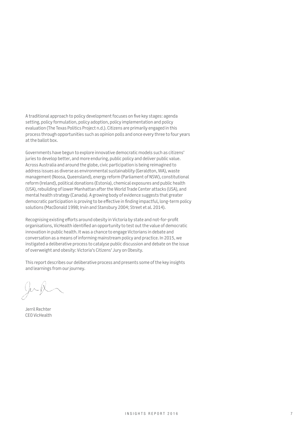A traditional approach to policy development focuses on five key stages: agenda setting, policy formulation, policy adoption, policy implementation and policy evaluation (The Texas Politics Project n.d.). Citizens are primarily engaged in this process through opportunities such as opinion polls and once every three to four years at the ballot box.

Governments have begun to explore innovative democratic models such as citizens' juries to develop better, and more enduring, public policy and deliver public value. Across Australia and around the globe, civic participation is being reimagined to address issues as diverse as environmental sustainability (Geraldton, WA), waste management (Noosa, Queensland), energy reform (Parliament of NSW), constitutional reform (Ireland), political donations (Estonia), chemical exposures and public health (USA), rebuilding of lower Manhattan after the World Trade Center attacks (USA), and mental health strategy (Canada). A growing body of evidence suggests that greater democratic participation is proving to be effective in finding impactful, long-term policy solutions (MacDonald 1998; Irvin and Stansbury 2004; Street et al. 2014).

Recognising existing efforts around obesity in Victoria by state and not-for-profit organisations, VicHealth identified an opportunity to test out the value of democratic innovation in public health. It was a chance to engage Victorians in debate and conversation as a means of informing mainstream policy and practice. In 2015, we instigated a deliberative process to catalyse public discussion and debate on the issue of overweight and obesity: Victoria's Citizens' Jury on Obesity.

This report describes our deliberative process and presents some of the key insights and learnings from our journey.

Jerril Rechter CEO VicHealth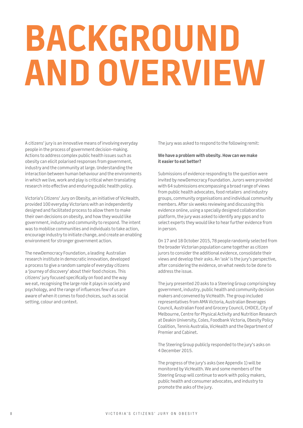# **BACKGROUND AND OVERVIEW**

A citizens' jury is an innovative means of involving everyday people in the process of government decision-making. Actions to address complex public health issues such as obesity can elicit polarised responses from government, industry and the community at large. Understanding the interaction between human behaviour and the environments in which we live, work and play is critical when translating research into effective and enduring public health policy.

Victoria's Citizens' Jury on Obesity, an initiative of VicHealth, provided 100 everyday Victorians with an independently designed and facilitated process to allow them to make their own decisions on obesity, and how they would like government, industry and community to respond. The intent was to mobilise communities and individuals to take action, encourage industry to initiate change, and create an enabling environment for stronger government action.

The newDemocracy Foundation, a leading Australian research institute in democratic innovation, developed a process to give a random sample of everyday citizens a 'journey of discovery' about their food choices. This citizens' jury focused specifically on food and the way we eat, recognising the large role it plays in society and psychology, and the range of influences few of us are aware of when it comes to food choices, such as social setting, colour and context.

The jury was asked to respond to the following remit:

#### **We have a problem with obesity. How can we make it easier to eat better?**

Submissions of evidence responding to the question were invited by newDemocracy Foundation. Jurors were provided with 64 submissions encompassing a broad range of views from public health advocates, food retailers and industry groups, community organisations and individual community members. After six weeks reviewing and discussing this evidence online, using a specially designed collaboration platform, the jury was asked to identify any gaps and to select experts they would like to hear further evidence from in person.

On 17 and 18 October 2015, 78 people randomly selected from the broader Victorian population came together as citizen jurors to consider the additional evidence, consolidate their views and develop their asks. An 'ask' is the jury's perspective, after considering the evidence, on what needs to be done to address the issue.

The jury presented 20 asks to a Steering Group comprising key government, industry, public health and community decision makers and convened by VicHealth. The group included representatives from AMA Victoria, Australian Beverages Council, Australian Food and Grocery Council, CHOICE, City of Melbourne, Centre for Physical Activity and Nutrition Research at Deakin University, Coles, Foodbank Victoria, Obesity Policy Coalition, Tennis Australia, VicHealth and the Department of Premier and Cabinet.

The Steering Group publicly responded to the jury's asks on 4 December 2015.

The progress of the jury's asks (see Appendix 1) will be monitored by VicHealth. We and some members of the Steering Group will continue to work with policy makers, public health and consumer advocates, and industry to promote the asks of the jury.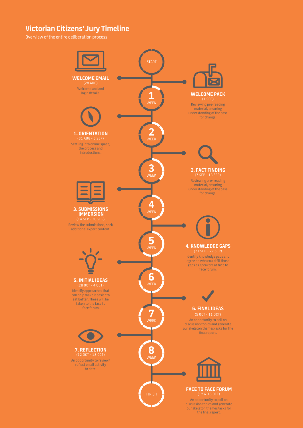### **Victorian Citizens' Jury Timeline**

Overview of the entire deliberation process

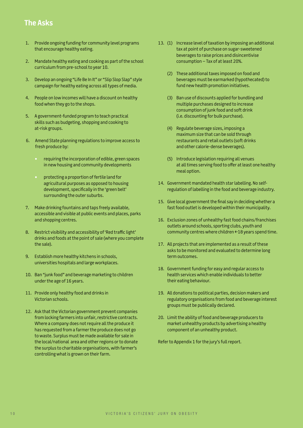### **The Asks**

- 1. Provide ongoing funding for community level programs that encourage healthy eating.
- 2. Mandate healthy eating and cooking as part of the school curriculum from pre-school to year 10.
- 3. Develop an ongoing "Life Be In It" or "Slip Slop Slap" style campaign for healthy eating across all types of media.
- 4. People on low incomes will have a discount on healthy food when they go to the shops.
- 5. A government-funded program to teach practical skills such as budgeting, shopping and cooking to at-risk groups.
- 6. Amend State planning regulations to improve access to fresh produce by:
	- **•** requiring the incorporation of edible, green spaces in new housing and community developments
	- **•** protecting a proportion of fertile land for agricultural purposes as opposed to housing development, specifically in the 'green belt' surrounding the outer suburbs.
- 7. Make drinking fountains and taps freely available, accessible and visible at public events and places, parks and shopping centres.
- 8. Restrict visibility and accessibility of 'Red traffic light' drinks and foods at the point of sale (where you complete the sale).
- 9. Establish more healthy kitchens in schools, universities hospitals and large workplaces.
- 10. Ban "junk food" and beverage marketing to children under the age of 16 years.
- 11. Provide only healthy food and drinks in Victorian schools.
- 12. Ask that the Victorian government prevent companies from locking farmers into unfair, restrictive contracts. Where a company does not require all the produce it has requested from a farmer the produce does not go to waste. Surplus must be made available for sale in the local/national area and other regions or to donate the surplus to charitable organisations, with farmer's controlling what is grown on their farm.
- 13. (1) Increase level of taxation by imposing an additional tax at point of purchase on sugar-sweetened beverages to raise prices and disincentivise consumption – Tax of at least 20%.
	- (2) These additional taxes imposed on food and beverages must be earmarked (hypothecated) to fund new health promotion initiatives.
	- (3) Ban use of discounts applied for bundling and multiple purchases designed to increase consumption of junk food and soft drink (i.e. discounting for bulk purchase).
	- (4) Regulate beverage sizes, imposing a maximum size that can be sold through restaurants and retail outlets (soft drinks and other calorie-dense beverages).
	- (5) Introduce legislation requiring all venues at all times serving food to offer at least one healthy meal option.
- 14. Government mandated health star labelling. No selfregulation of labelling in the food and beverage industry.
- 15. Give local government the final say in deciding whether a fast food outlet is developed within their municipality.
- 16. Exclusion zones of unhealthy fast food chains/franchises outlets around schools, sporting clubs, youth and community centres where children <18 years spend time.
- 17. All projects that are implemented as a result of these asks to be monitored and evaluated to determine long term outcomes.
- 18. Government funding for easy and regular access to health services which enable individuals to better their eating behaviour.
- 19. All donations to political parties, decision makers and regulatory organisations from food and beverage interest groups must be publically declared.
- 20. Limit the ability of food and beverage producers to market unhealthy products by advertising a healthy component of an unhealthy product.

Refer to Appendix 1 for the jury's full report.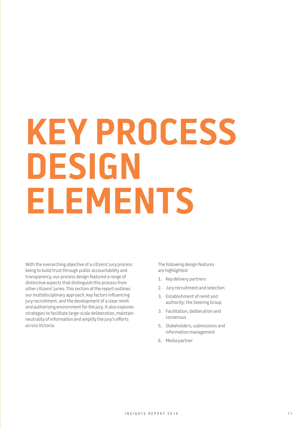# **KEY PROCESS DESIGN ELEMENTS**

With the overarching objective of a citizens' jury process being to build trust through public accountability and transparency, our process design featured a range of distinctive aspects that distinguish this process from other citizens' juries. This section of the report outlines our multidisciplinary approach, key factors influencing jury recruitment, and the development of a clear remit and authorising environment for the jury. It also explores strategies to facilitate large-scale deliberation, maintain neutrality of information and amplify the jury's efforts across Victoria.

The following design features are highlighted:

- 1. Key delivery partners
- 2. Jury recruitment and selection
- 3. Establishment of remit and authority: the Steering Group
- 3. Facilitation, deliberation and consensus
- 5. Stakeholders, submissions and information management
- 6. Media partner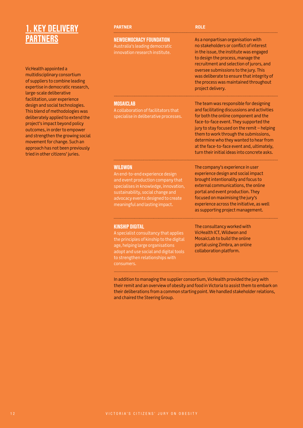# . KEY DELIVERY **PARTNERS**

VicHealth appointed a multidisciplinary consortium of suppliers to combine leading expertise in democratic research, large-scale deliberative facilitation, user experience design and social technologies. This blend of methodologies was deliberately applied to extend the project's impact beyond policy outcomes, in order to empower and strengthen the growing social movement for change. Such an approach has not been previously tried in other citizens' juries.

#### **PARTNER ROLE** NEWDEMOCRACY FOUNDATION As a nonpartisan organisation with no stakeholders or conflict of interest Australia's leading democratic in the issue, the institute was engaged to design the process, manage the recruitment and selection of jurors, and oversee submissions to the jury. This was deliberate to ensure that integrity of the process was maintained throughout project delivery. The team was responsible for designing MOSAICLAB A collaboration of facilitators that and facilitating discussions and activities for both the online component and the specialise in deliberative processes. face-to-face event. They supported the jury to stay focused on the remit – helping them to work through the submissions, determine who they wanted to hear from at the face-to-face event and, ultimately, turn their initial ideas into concrete asks. The company's experience in user **WILDWON** experience design and social impact

An end-to-end experience design and event production company that specialises in knowledge, innovation, sustainability, social change and advocacy events designed to create meaningful and lasting impact.

portal and event production. They focused on maximising the jury's experience across the initiative, as well as supporting project management. The consultancy worked with

brought intentionality and focus to external communications, the online

#### KINSHIP DIGITAL

A specialist consultancy that applies the principles of kinship to the digital age, helping large organisations adopt and use social and digital tools to strengthen relationships with

VicHealth ICT, Wildwon and MosaicLab to build the online portal using Zimbra, an online collaboration platform.

In addition to managing the supplier consortium, VicHealth provided the jury with their remit and an overview of obesity and food in Victoria to assist them to embark on their deliberations from a common starting point. We handled stakeholder relations, and chaired the Steering Group.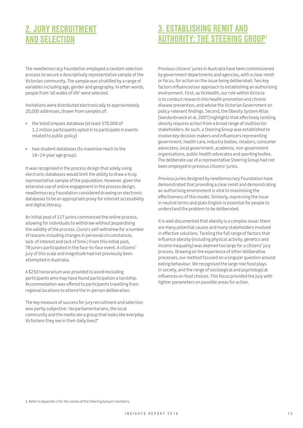# 2. JURY RECRUITMENT AND SELECTION

# 3. ESTABLISHING REMIT AND AUTHORITY: THE STEERING GROUP1

The newDemocracy Foundation employed a random selection process to secure a descriptively representative sample of the Victorian community. The sample was stratified by a range of variables including age, gender and geography. In other words, people from 'all walks of life' were selected.

Invitations were distributed electronically to approximately 20,000 addresses, drawn from samples of:

- **•** the VoteCompass database (at least 570,000 of 1.2 million participants opted in to participate in events related to public policy)
- **•** two student databases (to maximise reach to the 18–24-year age group).

It was recognised in the process design that solely using electronic databases would limit the ability to draw a truly representative sample of the population. However, given the extensive use of online engagement in the process design, newDemocracy Foundation considered drawing on electronic databases to be an appropriate proxy for internet accessibility and digital literacy.

An initial pool of 117 jurors commenced the online process, allowing for individuals to withdraw without jeopardising the validity of the process. (Jurors self-withdrew for a number of reasons including changes in personal circumstances, lack of interest and lack of time.) From this initial pool, 78 jurors participated in the face-to-face event. A citizens' jury of this scale and magnitude had not previously been attempted in Australia.

A \$250 honorarium was provided to avoid excluding participants who may have found participation a hardship. Accommodation was offered to participants travelling from regional locations to attend the in-person deliberation.

The key measure of success for jury recruitment and selection was partly subjective: 'do parliamentarians, the local community and the media see a group that looks like everyday Victorians they see in their daily lives?'

Previous citizens' juries in Australia have been commissioned by government departments and agencies, with a clear remit or focus, for action on the issue being deliberated. Two key factors influenced our approach to establishing an authorising environment. First, as VicHealth, our role within Victoria is to conduct research into health promotion and chronic disease prevention, and advise the Victorian Government on policy-relevant findings. Second, the Obesity System Atlas (Vandenbroeck et al. 2007) highlights that effectively tackling obesity requires action from a broad range of multisector stakeholders. As such, a Steering Group was established to involve key decision makers and influencers representing government, health care, industry bodies, retailers, consumer advocates, local government, academia, non-government organisations, public health advocates and sporting bodies. The deliberate use of a representative Steering Group had not been employed in previous citizens' juries.

Previous juries designed by newDemocracy Foundation have demonstrated that providing a clear remit and demonstrating an authorising environment is vital to maximising the effectiveness of this model. Similarly, expressing the issue in neutral terms and plain English is essential for people to understand the problem to be deliberated.

It is well documented that obesity is a complex issue: there are many potential causes and many stakeholders involved in effective solutions. Tackling the full range of factors that influence obesity (including physical activity, genetics and income inequality) was deemed too large for a citizens' jury process. Drawing on the experience of other deliberative processes, our method focused on a singular question around eating behaviour. We recognised the large role food plays in society, and the range of sociological and psychological influences on food choices. This focus provided the jury with tighter parameters on possible areas for action.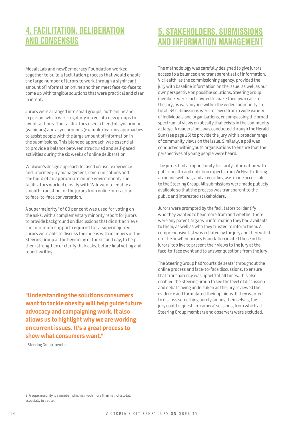# 4. FACILITATION, DELIBERATION **AND CONSENSUS**

# 5. STAKEHOLDERS, SUBMISSIONS AND INFORMATION MANAGEMENT

MosaicLab and newDemocracy Foundation worked together to build a facilitation process that would enable the large number of jurors to work through a significant amount of information online and then meet face-to-face to come up with tangible solutions that were practical and clear in intent.

Jurors were arranged into small groups, both online and in person, which were regularly mixed into new groups to avoid factions. The facilitators used a blend of synchronous (webinars) and asynchronous (example) learning approaches to assist people with the large amount of information in the submissions. This blended approach was essential to provide a balance between structured and self-paced activities during the six weeks of online deliberation.

Wildwon's design approach focused on user experience and informed jury management, communications and the build of an appropriate online environment. The facilitators worked closely with Wildwon to enable a smooth transition for the jurors from online interaction to face-to-face conversation.

A supermajority2 of 80 per cent was used for voting on the asks, with a complementary minority report for jurors to provide background on discussions that didn't achieve the minimum support required for a supermajority. Jurors were able to discuss their ideas with members of the Steering Group at the beginning of the second day, to help them strengthen or clarify their asks, before final voting and report writing.

**"Understanding the solutions consumers want to tackle obesity will help guide future advocacy and campaigning work. It also allows us to highlight why we are working on current issues. It's a great process to show what consumers want."**

–Steering Group member

The methodology was carefully designed to give jurors access to a balanced and transparent set of information. VicHealth, as the commissioning agency, provided the jury with baseline information on the issue, as well as our own perspective on possible solutions. Steering Group members were each invited to make their own case to the jury, as was anyone within the wider community. In total, 64 submissions were received from a wide variety of individuals and organisations, encompassing the broad spectrum of views on obesity that exists in the community at large. A readers' poll was conducted through the Herald Sun (see page 15) to provide the jury with a broader range of community views on the issue. Similarly, a poll was conducted within youth organisations to ensure that the perspectives of young people were heard.

The jurors had an opportunity to clarify information with public health and nutrition experts from VicHealth during an online webinar, and a recording was made accessible to the Steering Group. All submissions were made publicly available so that the process was transparent to the public and interested stakeholders.

Jurors were prompted by the facilitators to identify who they wanted to hear more from and whether there were any potential gaps in information they had available to them, as well as who they trusted to inform them. A comprehensive list was collated by the jury and then voted on. The newDemocracy Foundation invited those in the jurors' top five to present their views to the jury at the face-to-face event and to answer questions from the jury.

The Steering Group had 'courtside seats' throughout the online process and face-to-face discussions, to ensure that transparency was upheld at all times. This also enabled the Steering Group to see the level of discussion and debate being undertaken as the jury reviewed the evidence and formulated their opinions. If they wanted to discuss something purely among themselves, the jury could request 'in-camera' sessions, from which all Steering Group members and observers were excluded.

2. A supermajority is a number which is much more than half of a total, especially in a vote.